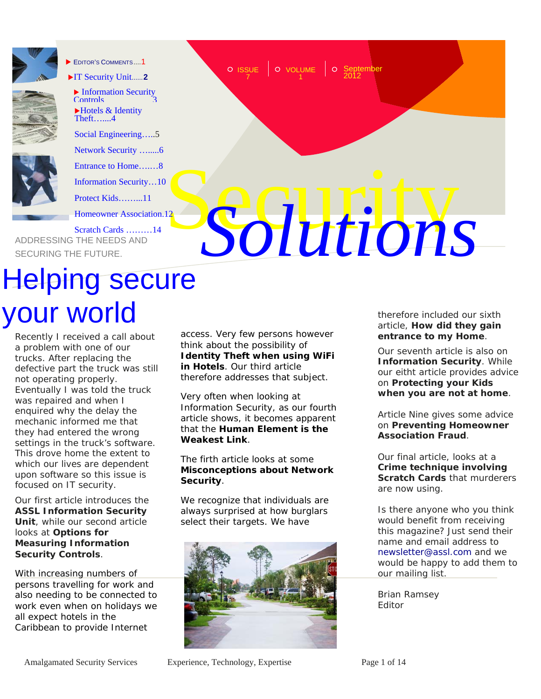

EDITOR'S COMMENTS 1



**Information Security** Controls ▶Hotels & Identity Theft…....4

[IT Security Unit](#page-1-0)...... **2**

[Social Engineering…..5](#page-4-0) 

[Network Security ….....6](#page-5-0)

[Entrance to Home….…8](#page-7-0) 

[Information Security…10](#page-9-0) 

[Protect Kids……...11](#page-10-0)

[Homeowner Association.12](#page-11-0) 

Entrance to Home.........8<br>
Information Security....10<br>
Protect Kids...........11<br>
Scratch Cards ..........14<br>
ADDRESSING THE NEEDS AND Frotect Kids.........11<br>
Secret Acerdon Cards ..........14<br>
SECURING THE FUTURE. [Scratch Cards ………14](#page-13-0) 

# Helping secure your world

Recently I received a call about a problem with one of our trucks. After replacing the defective part the truck was still not operating properly. Eventually I was told the truck was repaired and when I enquired why the delay the mechanic informed me that they had entered the wrong settings in the truck's software. This drove home the extent to which our lives are dependent upon software so this issue is focused on IT security.

Our first article introduces the **[ASSL Information Security](#page-1-0)  [Unit](#page-1-0)**, while our second article looks at **Options for [Measuring Information](#page-2-0)  Security Controls**.

With increasing numbers of persons travelling for work and also needing to be connected to work even when on holidays we all expect hotels in the Caribbean to provide Internet

access. Very few persons however think about the possibility of **[Identity Theft when using WiFi](#page-3-0)  in Hotels**. Our third article therefore addresses that subject.

**ISSUE** 7

**September** 

VOLUME | O Septe<br>2012 1

Very often when looking at Information Security, as our fourth article shows, it becomes apparent that the **[Human Element is the](#page-4-0)  Weakest Link**.

The firth article looks at some **[Misconceptions about Network](#page-5-0)  Security**.

We recognize that individuals are always surprised at how burglars select their targets. We have



therefore included our sixth article, **How did they gain [entrance to my Home](#page-7-0)**.

Our seventh article is also on **[Information Security](#page-9-0)**. While our eitht article provides advice on **Protecting your Kids [when you are not at home](#page-10-0)**.

Article Nine gives some advice on **[Preventing Homeowner](#page-11-0) Association Fraud**.

Our final article, looks at a **[Crime technique involving](#page-13-0) Scratch Cards** that murderers are now using.

Is there anyone who you think would benefit from receiving this magazine? Just send their name and email address to newsletter@assl.com and we would be happy to add them to our mailing list.

Brian Ramsey Editor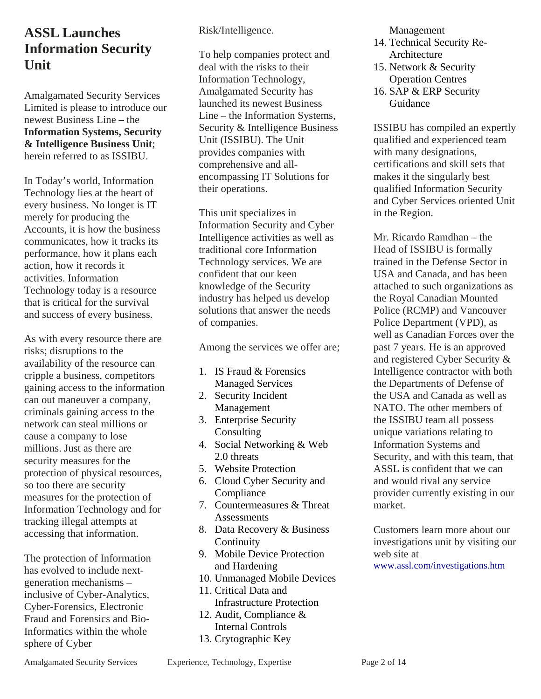#### <span id="page-1-0"></span>**ASSL Launches Information Security Unit**

Amalgamated Security Services Limited is please to introduce our newest Business Line **–** the **Information Systems, Security & Intelligence Business Unit**; herein referred to as ISSIBU.

In Today's world, Information Technology lies at the heart of every business. No longer is IT merely for producing the Accounts, it is how the business communicates, how it tracks its performance, how it plans each action, how it records it activities. Information Technology today is a resource that is critical for the survival and success of every business.

As with every resource there are risks; disruptions to the availability of the resource can cripple a business, competitors gaining access to the information can out maneuver a company, criminals gaining access to the network can steal millions or cause a company to lose millions. Just as there are security measures for the protection of physical resources, so too there are security measures for the protection of Information Technology and for tracking illegal attempts at accessing that information.

The protection of Information has evolved to include nextgeneration mechanisms – inclusive of Cyber-Analytics, Cyber-Forensics, Electronic Fraud and Forensics and Bio-Informatics within the whole sphere of Cyber

Risk/Intelligence.

To help companies protect and deal with the risks to their Information Technology, Amalgamated Security has launched its newest Business Line – the Information Systems, Security & Intelligence Business Unit (ISSIBU). The Unit provides companies with comprehensive and allencompassing IT Solutions for their operations.

This unit specializes in Information Security and Cyber Intelligence activities as well as traditional core Information Technology services. We are confident that our keen knowledge of the Security industry has helped us develop solutions that answer the needs of companies.

Among the services we offer are;

- 1. IS Fraud & Forensics Managed Services
- 2. Security Incident Management
- 3. Enterprise Security **Consulting**
- 4. Social Networking & Web 2.0 threats
- 5. Website Protection
- 6. Cloud Cyber Security and Compliance
- 7. Countermeasures & Threat **Assessments**
- 8. Data Recovery & Business **Continuity**
- 9. Mobile Device Protection and Hardening
- 10. Unmanaged Mobile Devices
- 11. Critical Data and Infrastructure Protection
- 12. Audit, Compliance & Internal Controls
- 13. Crytographic Key

Management

- 14. Technical Security Re-Architecture
- 15. Network & Security Operation Centres
- 16. SAP & ERP Security Guidance

ISSIBU has compiled an expertly qualified and experienced team with many designations. certifications and skill sets that makes it the singularly best qualified Information Security and Cyber Services oriented Unit in the Region.

Mr. Ricardo Ramdhan – the Head of ISSIBU is formally trained in the Defense Sector in USA and Canada, and has been attached to such organizations as the Royal Canadian Mounted Police (RCMP) and Vancouver Police Department (VPD), as well as Canadian Forces over the past 7 years. He is an approved and registered Cyber Security & Intelligence contractor with both the Departments of Defense of the USA and Canada as well as NATO. The other members of the ISSIBU team all possess unique variations relating to Information Systems and Security, and with this team, that ASSL is confident that we can and would rival any service provider currently existing in our market.

Customers learn more about our investigations unit by visiting our web site at www.assl.com/investigations.htm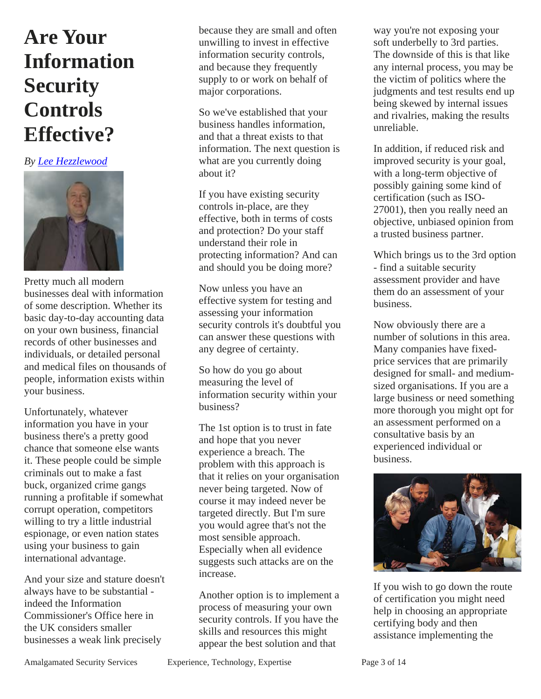### <span id="page-2-0"></span>**Are Your Information Security Controls Effective?**

#### *By Lee Hezzlewood*



Pretty much all modern businesses deal with information of some description. Whether its basic day-to-day accounting data on your own business, financial records of other businesses and individuals, or detailed personal and medical files on thousands of people, information exists within your business.

Unfortunately, whatever information you have in your business there's a pretty good chance that someone else wants it. These people could be simple criminals out to make a fast buck, organized crime gangs running a profitable if somewhat corrupt operation, competitors willing to try a little industrial espionage, or even nation states using your business to gain international advantage.

And your size and stature doesn't always have to be substantial indeed the Information Commissioner's Office here in the UK considers smaller businesses a weak link precisely

because they are small and often unwilling to invest in effective information security controls, and because they frequently supply to or work on behalf of major corporations.

So we've established that your business handles information, and that a threat exists to that information. The next question is what are you currently doing about it?

If you have existing security controls in-place, are they effective, both in terms of costs and protection? Do your staff understand their role in protecting information? And can and should you be doing more?

Now unless you have an effective system for testing and assessing your information security controls it's doubtful you can answer these questions with any degree of certainty.

So how do you go about measuring the level of information security within your business?

The 1st option is to trust in fate and hope that you never experience a breach. The problem with this approach is that it relies on your organisation never being targeted. Now of course it may indeed never be targeted directly. But I'm sure you would agree that's not the most sensible approach. Especially when all evidence suggests such attacks are on the increase.

Another option is to implement a process of measuring your own security controls. If you have the skills and resources this might appear the best solution and that

way you're not exposing your soft underbelly to 3rd parties. The downside of this is that like any internal process, you may be the victim of politics where the judgments and test results end up being skewed by internal issues and rivalries, making the results unreliable.

In addition, if reduced risk and improved security is your goal, with a long-term objective of possibly gaining some kind of certification (such as ISO-27001), then you really need an objective, unbiased opinion from a trusted business partner.

Which brings us to the 3rd option - find a suitable security assessment provider and have them do an assessment of your business.

Now obviously there are a number of solutions in this area. Many companies have fixedprice services that are primarily designed for small- and mediumsized organisations. If you are a large business or need something more thorough you might opt for an assessment performed on a consultative basis by an experienced individual or business.



If you wish to go down the route of certification you might need help in choosing an appropriate certifying body and then assistance implementing the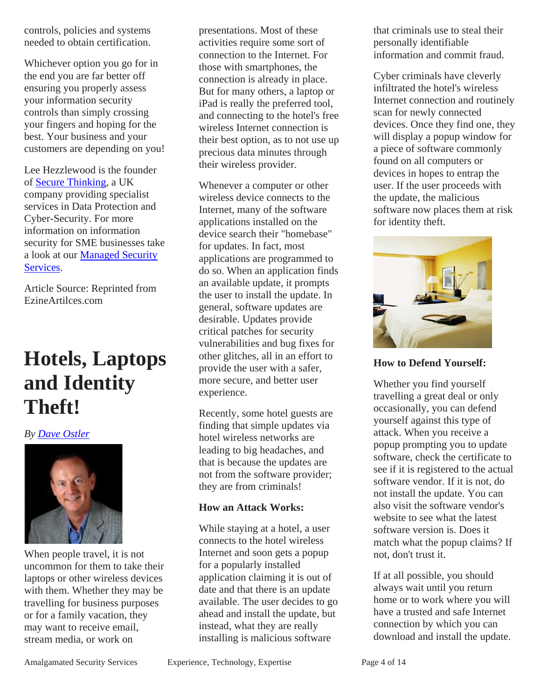<span id="page-3-0"></span>controls, policies and systems needed to obtain certification.

Whichever option you go for in the end you are far better off ensuring you properly assess your information security controls than simply crossing your fingers and hoping for the best. Your business and your customers are depending on you!

Lee Hezzlewood is the founder of Secure Thinking, a UK company providing specialist services in Data Protection and Cyber-Security. For more information on information security for SME businesses take a look at our Managed Security Services.

Article Source: Reprinted from EzineArtilces.com

### **Hotels, Laptops and Identity Theft!**

#### *By Dave Ostler*



When people travel, it is not uncommon for them to take their laptops or other wireless devices with them. Whether they may be travelling for business purposes or for a family vacation, they may want to receive email, stream media, or work on

presentations. Most of these activities require some sort of connection to the Internet. For those with smartphones, the connection is already in place. But for many others, a laptop or iPad is really the preferred tool, and connecting to the hotel's free wireless Internet connection is their best option, as to not use up precious data minutes through their wireless provider.

Whenever a computer or other wireless device connects to the Internet, many of the software applications installed on the device search their "homebase" for updates. In fact, most applications are programmed to do so. When an application finds an available update, it prompts the user to install the update. In general, software updates are desirable. Updates provide critical patches for security vulnerabilities and bug fixes for other glitches, all in an effort to provide the user with a safer, more secure, and better user experience.

Recently, some hotel guests are finding that simple updates via hotel wireless networks are leading to big headaches, and that is because the updates are not from the software provider; they are from criminals!

#### **How an Attack Works:**

While staying at a hotel, a user connects to the hotel wireless Internet and soon gets a popup for a popularly installed application claiming it is out of date and that there is an update available. The user decides to go ahead and install the update, but instead, what they are really installing is malicious software

that criminals use to steal their personally identifiable information and commit fraud.

Cyber criminals have cleverly infiltrated the hotel's wireless Internet connection and routinely scan for newly connected devices. Once they find one, they will display a popup window for a piece of software commonly found on all computers or devices in hopes to entrap the user. If the user proceeds with the update, the malicious software now places them at risk for identity theft.



**How to Defend Yourself:**

Whether you find yourself travelling a great deal or only occasionally, you can defend yourself against this type of attack. When you receive a popup prompting you to update software, check the certificate to see if it is registered to the actual software vendor. If it is not, do not install the update. You can also visit the software vendor's website to see what the latest software version is. Does it match what the popup claims? If not, don't trust it.

If at all possible, you should always wait until you return home or to work where you will have a trusted and safe Internet connection by which you can download and install the update.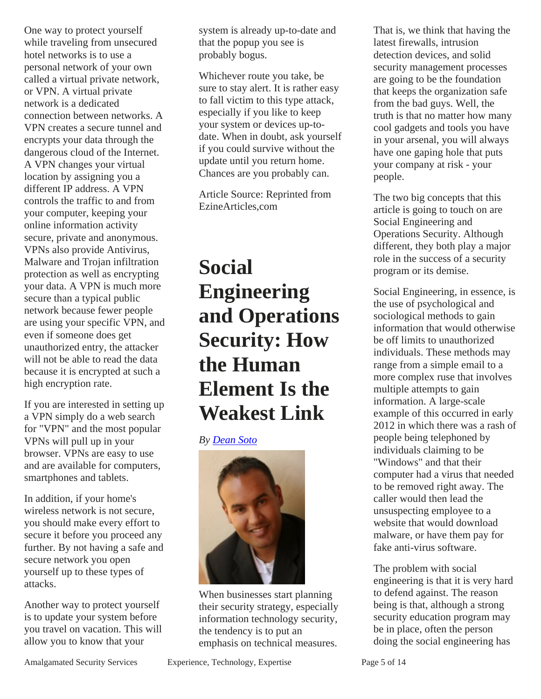<span id="page-4-0"></span>One way to protect yourself while traveling from unsecured hotel networks is to use a personal network of your own called a virtual private network, or VPN. A virtual private network is a dedicated connection between networks. A VPN creates a secure tunnel and encrypts your data through the dangerous cloud of the Internet. A VPN changes your virtual location by assigning you a different IP address. A VPN controls the traffic to and from your computer, keeping your online information activity secure, private and anonymous. VPNs also provide Antivirus, Malware and Trojan infiltration protection as well as encrypting your data. A VPN is much more secure than a typical public network because fewer people are using your specific VPN, and even if someone does get unauthorized entry, the attacker will not be able to read the data because it is encrypted at such a high encryption rate.

If you are interested in setting up a VPN simply do a web search for "VPN" and the most popular VPNs will pull up in your browser. VPNs are easy to use and are available for computers, smartphones and tablets.

In addition, if your home's wireless network is not secure, you should make every effort to secure it before you proceed any further. By not having a safe and secure network you open yourself up to these types of attacks.

Another way to protect yourself is to update your system before you travel on vacation. This will allow you to know that your

system is already up-to-date and that the popup you see is probably bogus.

Whichever route you take, be sure to stay alert. It is rather easy to fall victim to this type attack, especially if you like to keep your system or devices up-todate. When in doubt, ask yourself if you could survive without the update until you return home. Chances are you probably can.

Article Source: Reprinted from EzineArticles,com

### **Social Engineering and Operations Security: How the Human Element Is the Weakest Link**

*By Dean Soto* 



When businesses start planning their security strategy, especially information technology security, the tendency is to put an emphasis on technical measures.

That is, we think that having the latest firewalls, intrusion detection devices, and solid security management processes are going to be the foundation that keeps the organization safe from the bad guys. Well, the truth is that no matter how many cool gadgets and tools you have in your arsenal, you will always have one gaping hole that puts your company at risk - your people.

The two big concepts that this article is going to touch on are Social Engineering and Operations Security. Although different, they both play a major role in the success of a security program or its demise.

Social Engineering, in essence, is the use of psychological and sociological methods to gain information that would otherwise be off limits to unauthorized individuals. These methods may range from a simple email to a more complex ruse that involves multiple attempts to gain information. A large-scale example of this occurred in early 2012 in which there was a rash of people being telephoned by individuals claiming to be "Windows" and that their computer had a virus that needed to be removed right away. The caller would then lead the unsuspecting employee to a website that would download malware, or have them pay for fake anti-virus software.

The problem with social engineering is that it is very hard to defend against. The reason being is that, although a strong security education program may be in place, often the person doing the social engineering has

Amalgamated Security Services Experience, Technology, Expertise Page 5 of 14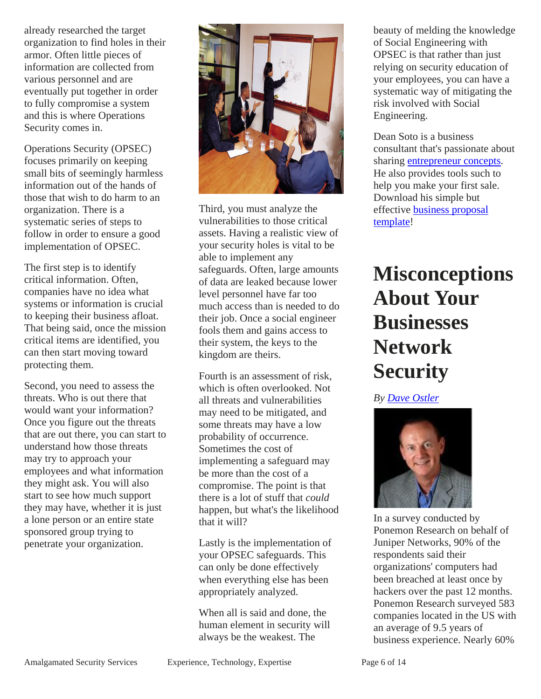<span id="page-5-0"></span>already researched the target organization to find holes in their armor. Often little pieces of information are collected from various personnel and are eventually put together in order to fully compromise a system and this is where Operations Security comes in.

Operations Security (OPSEC) focuses primarily on keeping small bits of seemingly harmless information out of the hands of those that wish to do harm to an organization. There is a systematic series of steps to follow in order to ensure a good implementation of OPSEC.

The first step is to identify critical information. Often, companies have no idea what systems or information is crucial to keeping their business afloat. That being said, once the mission critical items are identified, you can then start moving toward protecting them.

Second, you need to assess the threats. Who is out there that would want your information? Once you figure out the threats that are out there, you can start to understand how those threats may try to approach your employees and what information they might ask. You will also start to see how much support they may have, whether it is just a lone person or an entire state sponsored group trying to penetrate your organization.



Third, you must analyze the vulnerabilities to those critical assets. Having a realistic view of your security holes is vital to be able to implement any safeguards. Often, large amounts of data are leaked because lower level personnel have far too much access than is needed to do their job. Once a social engineer fools them and gains access to their system, the keys to the kingdom are theirs.

Fourth is an assessment of risk, which is often overlooked. Not all threats and vulnerabilities may need to be mitigated, and some threats may have a low probability of occurrence. Sometimes the cost of implementing a safeguard may be more than the cost of a compromise. The point is that there is a lot of stuff that *could* happen, but what's the likelihood that it will?

Lastly is the implementation of your OPSEC safeguards. This can only be done effectively when everything else has been appropriately analyzed.

When all is said and done, the human element in security will always be the weakest. The

beauty of melding the knowledge of Social Engineering with OPSEC is that rather than just relying on security education of your employees, you can have a systematic way of mitigating the risk involved with Social Engineering.

Dean Soto is a business consultant that's passionate about sharing entrepreneur concepts. He also provides tools such to help you make your first sale. Download his simple but effective business proposal template!

# **Misconceptions About Your Businesses Network Security**

*By Dave Ostler* 



In a survey conducted by Ponemon Research on behalf of Juniper Networks, 90% of the respondents said their organizations' computers had been breached at least once by hackers over the past 12 months. Ponemon Research surveyed 583 companies located in the US with an average of 9.5 years of business experience. Nearly 60%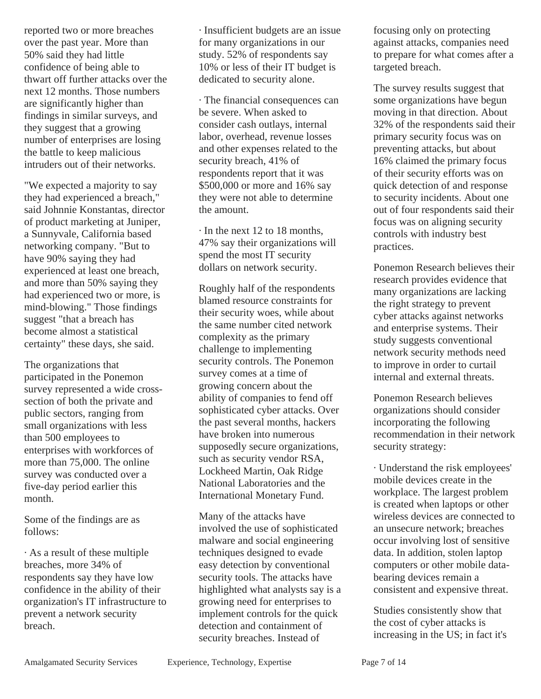reported two or more breaches over the past year. More than 50% said they had little confidence of being able to thwart off further attacks over the next 12 months. Those numbers are significantly higher than findings in similar surveys, and they suggest that a growing number of enterprises are losing the battle to keep malicious intruders out of their networks.

"We expected a majority to say they had experienced a breach," said Johnnie Konstantas, director of product marketing at Juniper, a Sunnyvale, California based networking company. "But to have 90% saying they had experienced at least one breach, and more than 50% saying they had experienced two or more, is mind-blowing." Those findings suggest "that a breach has become almost a statistical certainty" these days, she said.

The organizations that participated in the Ponemon survey represented a wide crosssection of both the private and public sectors, ranging from small organizations with less than 500 employees to enterprises with workforces of more than 75,000. The online survey was conducted over a five-day period earlier this month.

Some of the findings are as follows:

· As a result of these multiple breaches, more 34% of respondents say they have low confidence in the ability of their organization's IT infrastructure to prevent a network security breach.

· Insufficient budgets are an issue for many organizations in our study. 52% of respondents say 10% or less of their IT budget is dedicated to security alone.

· The financial consequences can be severe. When asked to consider cash outlays, internal labor, overhead, revenue losses and other expenses related to the security breach, 41% of respondents report that it was \$500,000 or more and 16% say they were not able to determine the amount.

· In the next 12 to 18 months, 47% say their organizations will spend the most IT security dollars on network security.

Roughly half of the respondents blamed resource constraints for their security woes, while about the same number cited network complexity as the primary challenge to implementing security controls. The Ponemon survey comes at a time of growing concern about the ability of companies to fend off sophisticated cyber attacks. Over the past several months, hackers have broken into numerous supposedly secure organizations, such as security vendor RSA, Lockheed Martin, Oak Ridge National Laboratories and the International Monetary Fund.

Many of the attacks have involved the use of sophisticated malware and social engineering techniques designed to evade easy detection by conventional security tools. The attacks have highlighted what analysts say is a growing need for enterprises to implement controls for the quick detection and containment of security breaches. Instead of

focusing only on protecting against attacks, companies need to prepare for what comes after a targeted breach.

The survey results suggest that some organizations have begun moving in that direction. About 32% of the respondents said their primary security focus was on preventing attacks, but about 16% claimed the primary focus of their security efforts was on quick detection of and response to security incidents. About one out of four respondents said their focus was on aligning security controls with industry best practices.

Ponemon Research believes their research provides evidence that many organizations are lacking the right strategy to prevent cyber attacks against networks and enterprise systems. Their study suggests conventional network security methods need to improve in order to curtail internal and external threats.

Ponemon Research believes organizations should consider incorporating the following recommendation in their network security strategy:

· Understand the risk employees' mobile devices create in the workplace. The largest problem is created when laptops or other wireless devices are connected to an unsecure network; breaches occur involving lost of sensitive data. In addition, stolen laptop computers or other mobile databearing devices remain a consistent and expensive threat.

Studies consistently show that the cost of cyber attacks is increasing in the US; in fact it's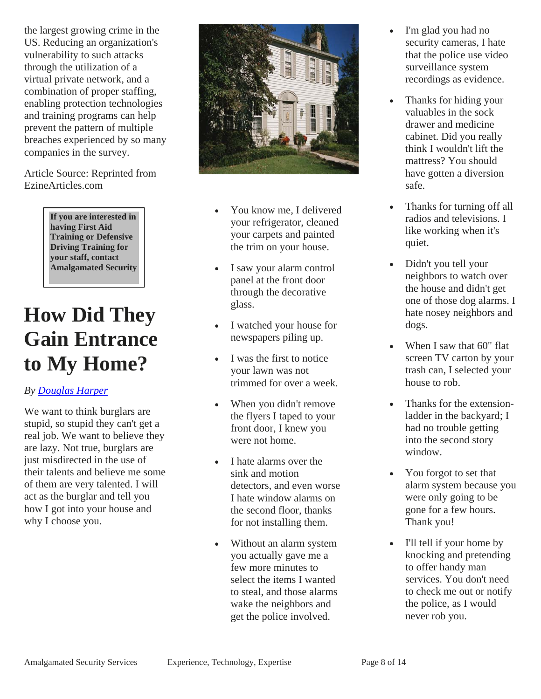<span id="page-7-0"></span>the largest growing crime in the US. Reducing an organization's vulnerability to such attacks through the utilization of a virtual private network, and a combination of proper staffing, enabling protection technologies and training programs can help prevent the pattern of multiple breaches experienced by so many companies in the survey.

Article Source: Reprinted from EzineArticles.com

> **If you are interested in having First Aid Training or Defensive Driving Training for your staff, contact Amalgamated Security**

### **How Did They Gain Entrance to My Home?**

#### *By Douglas Harper*

We want to think burglars are stupid, so stupid they can't get a real job. We want to believe they are lazy. Not true, burglars are just misdirected in the use of their talents and believe me some of them are very talented. I will act as the burglar and tell you how I got into your house and why I choose you.



- You know me, I delivered your refrigerator, cleaned your carpets and painted the trim on your house.
- I saw your alarm control panel at the front door through the decorative glass.
- I watched your house for newspapers piling up.
- I was the first to notice your lawn was not trimmed for over a week.
- When you didn't remove the flyers I taped to your front door, I knew you were not home.
- I hate alarms over the sink and motion detectors, and even worse I hate window alarms on the second floor, thanks for not installing them.
- Without an alarm system you actually gave me a few more minutes to select the items I wanted to steal, and those alarms wake the neighbors and get the police involved.
- I'm glad you had no security cameras, I hate that the police use video surveillance system recordings as evidence.
- Thanks for hiding your valuables in the sock drawer and medicine cabinet. Did you really think I wouldn't lift the mattress? You should have gotten a diversion safe.
- Thanks for turning off all radios and televisions. I like working when it's quiet.
- Didn't you tell your neighbors to watch over the house and didn't get one of those dog alarms. I hate nosey neighbors and dogs.
- When I saw that 60" flat screen TV carton by your trash can, I selected your house to rob.
- Thanks for the extensionladder in the backyard; I had no trouble getting into the second story window.
- You forgot to set that alarm system because you were only going to be gone for a few hours. Thank you!
- I'll tell if your home by knocking and pretending to offer handy man services. You don't need to check me out or notify the police, as I would never rob you.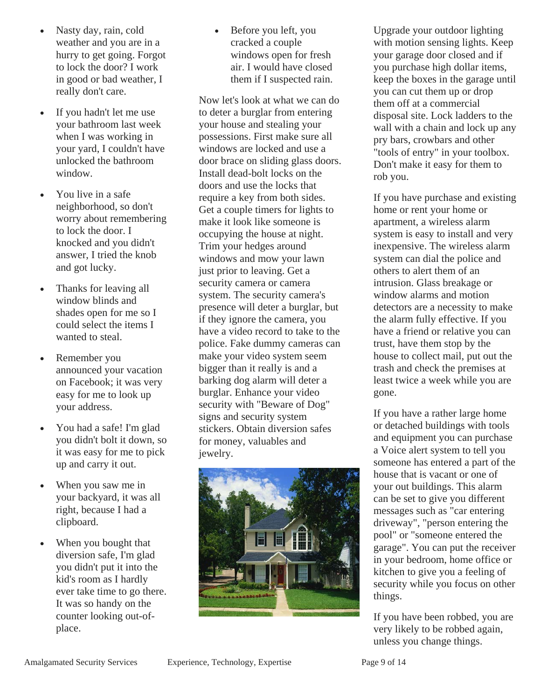- Nasty day, rain, cold weather and you are in a hurry to get going. Forgot to lock the door? I work in good or bad weather, I really don't care.
- If you hadn't let me use your bathroom last week when I was working in your yard, I couldn't have unlocked the bathroom window.
- You live in a safe neighborhood, so don't worry about remembering to lock the door. I knocked and you didn't answer, I tried the knob and got lucky.
- Thanks for leaving all window blinds and shades open for me so I could select the items I wanted to steal.
- Remember you announced your vacation on Facebook; it was very easy for me to look up your address.
- You had a safe! I'm glad you didn't bolt it down, so it was easy for me to pick up and carry it out.
- When you saw me in your backyard, it was all right, because I had a clipboard.
- When you bought that diversion safe, I'm glad you didn't put it into the kid's room as I hardly ever take time to go there. It was so handy on the counter looking out-ofplace.

 Before you left, you cracked a couple windows open for fresh air. I would have closed them if I suspected rain.

Now let's look at what we can do to deter a burglar from entering your house and stealing your possessions. First make sure all windows are locked and use a door brace on sliding glass doors. Install dead-bolt locks on the doors and use the locks that require a key from both sides. Get a couple timers for lights to make it look like someone is occupying the house at night. Trim your hedges around windows and mow your lawn just prior to leaving. Get a security camera or camera system. The security camera's presence will deter a burglar, but if they ignore the camera, you have a video record to take to the police. Fake dummy cameras can make your video system seem bigger than it really is and a barking dog alarm will deter a burglar. Enhance your video security with "Beware of Dog" signs and security system stickers. Obtain diversion safes for money, valuables and jewelry.



Upgrade your outdoor lighting with motion sensing lights. Keep your garage door closed and if you purchase high dollar items, keep the boxes in the garage until you can cut them up or drop them off at a commercial disposal site. Lock ladders to the wall with a chain and lock up any pry bars, crowbars and other "tools of entry" in your toolbox. Don't make it easy for them to rob you.

If you have purchase and existing home or rent your home or apartment, a wireless alarm system is easy to install and very inexpensive. The wireless alarm system can dial the police and others to alert them of an intrusion. Glass breakage or window alarms and motion detectors are a necessity to make the alarm fully effective. If you have a friend or relative you can trust, have them stop by the house to collect mail, put out the trash and check the premises at least twice a week while you are gone.

If you have a rather large home or detached buildings with tools and equipment you can purchase a Voice alert system to tell you someone has entered a part of the house that is vacant or one of your out buildings. This alarm can be set to give you different messages such as "car entering driveway", "person entering the pool" or "someone entered the garage". You can put the receiver in your bedroom, home office or kitchen to give you a feeling of security while you focus on other things.

If you have been robbed, you are very likely to be robbed again, unless you change things.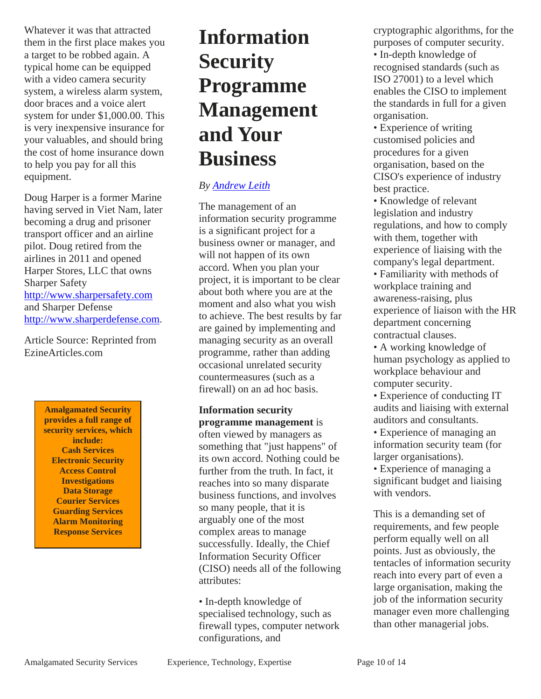<span id="page-9-0"></span>Whatever it was that attracted them in the first place makes you a target to be robbed again. A typical home can be equipped with a video camera security system, a wireless alarm system, door braces and a voice alert system for under \$1,000.00. This is very inexpensive insurance for your valuables, and should bring the cost of home insurance down to help you pay for all this equipment.

Doug Harper is a former Marine having served in Viet Nam, later becoming a drug and prisoner transport officer and an airline pilot. Doug retired from the airlines in 2011 and opened Harper Stores, LLC that owns Sharper Safety http://www.sharpersafety.com and Sharper Defense http://www.sharperdefense.com.

Article Source: Reprinted from EzineArticles.com

> **Amalgamated Security provides a full range of security services, which include: Cash Services Electronic Security Access Control Investigations Data Storage Courier Services Guarding Services Alarm Monitoring Response Services**

# **Information Security Programme Management and Your Business**

#### *By Andrew Leith*

The management of an information security programme is a significant project for a business owner or manager, and will not happen of its own accord. When you plan your project, it is important to be clear about both where you are at the moment and also what you wish to achieve. The best results by far are gained by implementing and managing security as an overall programme, rather than adding occasional unrelated security countermeasures (such as a firewall) on an ad hoc basis.

**Information security programme management** is often viewed by managers as something that "just happens" of its own accord. Nothing could be further from the truth. In fact, it reaches into so many disparate business functions, and involves so many people, that it is arguably one of the most complex areas to manage successfully. Ideally, the Chief Information Security Officer (CISO) needs all of the following attributes:

• In-depth knowledge of specialised technology, such as firewall types, computer network configurations, and

cryptographic algorithms, for the purposes of computer security. • In-depth knowledge of recognised standards (such as ISO 27001) to a level which enables the CISO to implement the standards in full for a given organisation.

• Experience of writing customised policies and procedures for a given organisation, based on the CISO's experience of industry best practice.

• Knowledge of relevant legislation and industry regulations, and how to comply with them, together with experience of liaising with the company's legal department.

• Familiarity with methods of workplace training and awareness-raising, plus experience of liaison with the HR department concerning contractual clauses.

• A working knowledge of human psychology as applied to workplace behaviour and computer security.

• Experience of conducting IT audits and liaising with external auditors and consultants.

• Experience of managing an information security team (for larger organisations).

• Experience of managing a significant budget and liaising with vendors.

This is a demanding set of requirements, and few people perform equally well on all points. Just as obviously, the tentacles of information security reach into every part of even a large organisation, making the job of the information security manager even more challenging than other managerial jobs.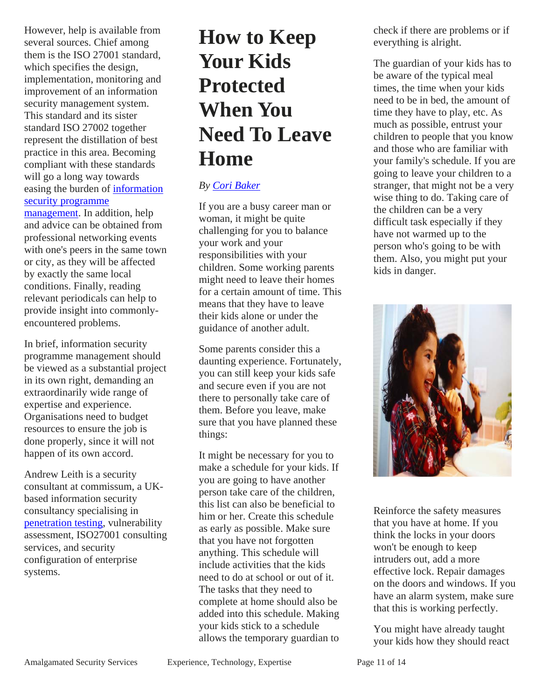<span id="page-10-0"></span>However, help is available from several sources. Chief among them is the ISO 27001 standard, which specifies the design, implementation, monitoring and improvement of an information security management system. This standard and its sister standard ISO 27002 together represent the distillation of best practice in this area. Becoming compliant with these standards will go a long way towards easing the burden of information security programme

management. In addition, help and advice can be obtained from professional networking events with one's peers in the same town or city, as they will be affected by exactly the same local conditions. Finally, reading relevant periodicals can help to provide insight into commonlyencountered problems.

In brief, information security programme management should be viewed as a substantial project in its own right, demanding an extraordinarily wide range of expertise and experience. Organisations need to budget resources to ensure the job is done properly, since it will not happen of its own accord.

Andrew Leith is a security consultant at commissum, a UKbased information security consultancy specialising in penetration testing, vulnerability assessment, ISO27001 consulting services, and security configuration of enterprise systems.

# **How to Keep Your Kids Protected When You Need To Leave Home**

#### *By Cori Baker*

If you are a busy career man or woman, it might be quite challenging for you to balance your work and your responsibilities with your children. Some working parents might need to leave their homes for a certain amount of time. This means that they have to leave their kids alone or under the guidance of another adult.

Some parents consider this a daunting experience. Fortunately, you can still keep your kids safe and secure even if you are not there to personally take care of them. Before you leave, make sure that you have planned these things:

It might be necessary for you to make a schedule for your kids. If you are going to have another person take care of the children, this list can also be beneficial to him or her. Create this schedule as early as possible. Make sure that you have not forgotten anything. This schedule will include activities that the kids need to do at school or out of it. The tasks that they need to complete at home should also be added into this schedule. Making your kids stick to a schedule allows the temporary guardian to

check if there are problems or if everything is alright.

The guardian of your kids has to be aware of the typical meal times, the time when your kids need to be in bed, the amount of time they have to play, etc. As much as possible, entrust your children to people that you know and those who are familiar with your family's schedule. If you are going to leave your children to a stranger, that might not be a very wise thing to do. Taking care of the children can be a very difficult task especially if they have not warmed up to the person who's going to be with them. Also, you might put your kids in danger.



Reinforce the safety measures that you have at home. If you think the locks in your doors won't be enough to keep intruders out, add a more effective lock. Repair damages on the doors and windows. If you have an alarm system, make sure that this is working perfectly.

You might have already taught your kids how they should react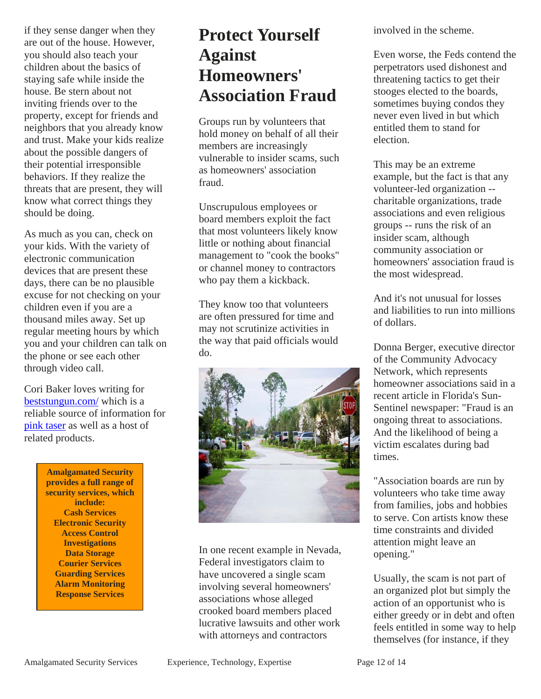<span id="page-11-0"></span>if they sense danger when they are out of the house. However, you should also teach your children about the basics of staying safe while inside the house. Be stern about not inviting friends over to the property, except for friends and neighbors that you already know and trust. Make your kids realize about the possible dangers of their potential irresponsible behaviors. If they realize the threats that are present, they will know what correct things they should be doing.

As much as you can, check on your kids. With the variety of electronic communication devices that are present these days, there can be no plausible excuse for not checking on your children even if you are a thousand miles away. Set up regular meeting hours by which you and your children can talk on the phone or see each other through video call.

Cori Baker loves writing for beststungun.com/ which is a reliable source of information for pink taser as well as a host of related products.

> **Amalgamated Security provides a full range of security services, which include: Cash Services Electronic Security Access Control Investigations Data Storage Courier Services Guarding Services Alarm Monitoring Response Services**

### **Protect Yourself Against Homeowners' Association Fraud**

Groups run by volunteers that hold money on behalf of all their members are increasingly vulnerable to insider scams, such as homeowners' association fraud.

Unscrupulous employees or board members exploit the fact that most volunteers likely know little or nothing about financial management to "cook the books" or channel money to contractors who pay them a kickback.

They know too that volunteers are often pressured for time and may not scrutinize activities in the way that paid officials would do.



In one recent example in Nevada, Federal investigators claim to have uncovered a single scam involving several homeowners' associations whose alleged crooked board members placed lucrative lawsuits and other work with attorneys and contractors

involved in the scheme.

Even worse, the Feds contend the perpetrators used dishonest and threatening tactics to get their stooges elected to the boards, sometimes buying condos they never even lived in but which entitled them to stand for election.

This may be an extreme example, but the fact is that any volunteer-led organization - charitable organizations, trade associations and even religious groups -- runs the risk of an insider scam, although community association or homeowners' association fraud is the most widespread.

And it's not unusual for losses and liabilities to run into millions of dollars.

Donna Berger, executive director of the Community Advocacy Network, which represents homeowner associations said in a recent article in Florida's Sun-Sentinel newspaper: "Fraud is an ongoing threat to associations. And the likelihood of being a victim escalates during bad times.

"Association boards are run by volunteers who take time away from families, jobs and hobbies to serve. Con artists know these time constraints and divided attention might leave an opening."

Usually, the scam is not part of an organized plot but simply the action of an opportunist who is either greedy or in debt and often feels entitled in some way to help themselves (for instance, if they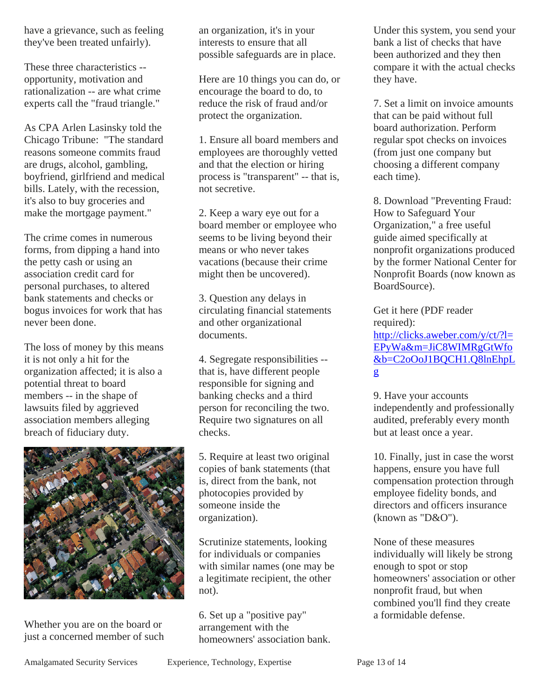have a grievance, such as feeling they've been treated unfairly).

These three characteristics - opportunity, motivation and rationalization -- are what crime experts call the "fraud triangle."

As CPA Arlen Lasinsky told the Chicago Tribune: "The standard reasons someone commits fraud are drugs, alcohol, gambling, boyfriend, girlfriend and medical bills. Lately, with the recession, it's also to buy groceries and make the mortgage payment."

The crime comes in numerous forms, from dipping a hand into the petty cash or using an association credit card for personal purchases, to altered bank statements and checks or bogus invoices for work that has never been done.

The loss of money by this means it is not only a hit for the organization affected; it is also a potential threat to board members -- in the shape of lawsuits filed by aggrieved association members alleging breach of fiduciary duty.



Whether you are on the board or just a concerned member of such an organization, it's in your interests to ensure that all possible safeguards are in place.

Here are 10 things you can do, or encourage the board to do, to reduce the risk of fraud and/or protect the organization.

1. Ensure all board members and employees are thoroughly vetted and that the election or hiring process is "transparent" -- that is, not secretive.

2. Keep a wary eye out for a board member or employee who seems to be living beyond their means or who never takes vacations (because their crime might then be uncovered).

3. Question any delays in circulating financial statements and other organizational documents.

4. Segregate responsibilities - that is, have different people responsible for signing and banking checks and a third person for reconciling the two. Require two signatures on all checks.

5. Require at least two original copies of bank statements (that is, direct from the bank, not photocopies provided by someone inside the organization).

Scrutinize statements, looking for individuals or companies with similar names (one may be a legitimate recipient, the other not).

6. Set up a "positive pay" arrangement with the homeowners' association bank.

Under this system, you send your bank a list of checks that have been authorized and they then compare it with the actual checks they have.

7. Set a limit on invoice amounts that can be paid without full board authorization. Perform regular spot checks on invoices (from just one company but choosing a different company each time).

8. Download "Preventing Fraud: How to Safeguard Your Organization," a free useful guide aimed specifically at nonprofit organizations produced by the former National Center for Nonprofit Boards (now known as BoardSource).

Get it here (PDF reader required): http://clicks.aweber.com/y/ct/?l= EPyWa&m=JiC8WIMRgGtWfo &b=C2oOoJ1BQCH1.Q8lnEhpL g

9. Have your accounts independently and professionally audited, preferably every month but at least once a year.

10. Finally, just in case the worst happens, ensure you have full compensation protection through employee fidelity bonds, and directors and officers insurance (known as "D&O").

None of these measures individually will likely be strong enough to spot or stop homeowners' association or other nonprofit fraud, but when combined you'll find they create a formidable defense.